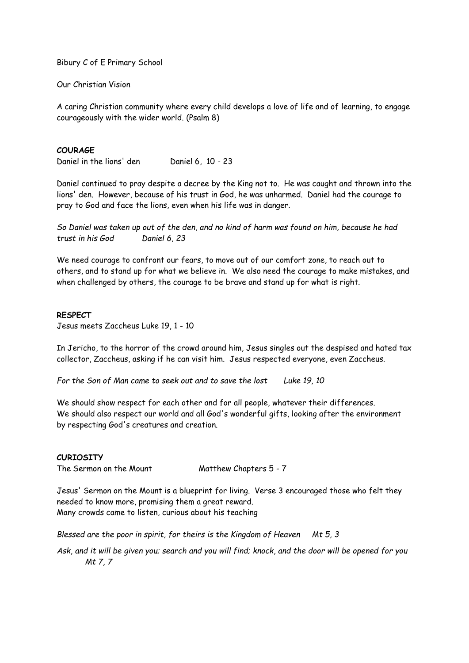Bibury C of E Primary School

Our Christian Vision

A caring Christian community where every child develops a love of life and of learning, to engage courageously with the wider world. (Psalm 8)

## **COURAGE**

Daniel in the lions' den Daniel 6, 10 - 23

Daniel continued to pray despite a decree by the King not to. He was caught and thrown into the lions' den. However, because of his trust in God, he was unharmed. Daniel had the courage to pray to God and face the lions, even when his life was in danger.

*So Daniel was taken up out of the den, and no kind of harm was found on him, because he had trust in his God Daniel 6, 23*

We need courage to confront our fears, to move out of our comfort zone, to reach out to others, and to stand up for what we believe in. We also need the courage to make mistakes, and when challenged by others, the courage to be brave and stand up for what is right.

## **RESPECT**

Jesus meets Zaccheus Luke 19, 1 - 10

In Jericho, to the horror of the crowd around him, Jesus singles out the despised and hated tax collector, Zaccheus, asking if he can visit him. Jesus respected everyone, even Zaccheus.

*For the Son of Man came to seek out and to save the lost Luke 19, 10*

We should show respect for each other and for all people, whatever their differences. We should also respect our world and all God's wonderful gifts, looking after the environment by respecting God's creatures and creation.

## **CURIOSITY**

The Sermon on the Mount Matthew Chapters 5 - 7

Jesus' Sermon on the Mount is a blueprint for living. Verse 3 encouraged those who felt they needed to know more, promising them a great reward. Many crowds came to listen, curious about his teaching

*Blessed are the poor in spirit, for theirs is the Kingdom of Heaven Mt 5, 3*

*Ask, and it will be given you; search and you will find; knock, and the door will be opened for you Mt 7, 7*